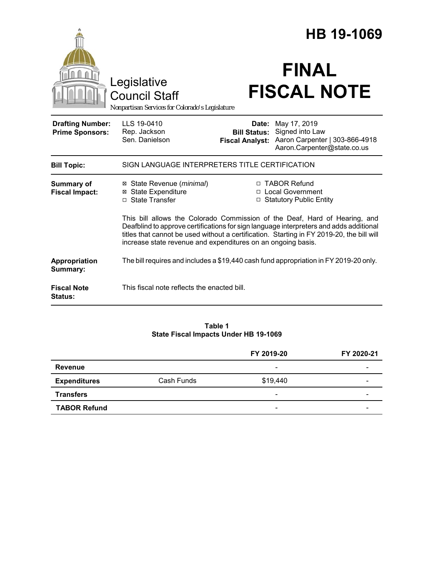|                                                   |                                                                                                                                                                                                                                                                                                                                   | HB 19-1069                                                        |                                                                                                  |  |
|---------------------------------------------------|-----------------------------------------------------------------------------------------------------------------------------------------------------------------------------------------------------------------------------------------------------------------------------------------------------------------------------------|-------------------------------------------------------------------|--------------------------------------------------------------------------------------------------|--|
|                                                   | Legislative<br><b>Council Staff</b><br>Nonpartisan Services for Colorado's Legislature                                                                                                                                                                                                                                            |                                                                   | <b>FINAL</b><br><b>FISCAL NOTE</b>                                                               |  |
| <b>Drafting Number:</b><br><b>Prime Sponsors:</b> | LLS 19-0410<br>Rep. Jackson<br>Sen. Danielson                                                                                                                                                                                                                                                                                     | Date:<br><b>Bill Status:</b><br><b>Fiscal Analyst:</b>            | May 17, 2019<br>Signed into Law<br>Aaron Carpenter   303-866-4918<br>Aaron.Carpenter@state.co.us |  |
| <b>Bill Topic:</b>                                | SIGN LANGUAGE INTERPRETERS TITLE CERTIFICATION                                                                                                                                                                                                                                                                                    |                                                                   |                                                                                                  |  |
| Summary of<br><b>Fiscal Impact:</b>               | ⊠ State Revenue ( <i>minimal</i> )<br><b>⊠</b> State Expenditure<br>□ State Transfer                                                                                                                                                                                                                                              | □ TABOR Refund<br>□ Local Government<br>□ Statutory Public Entity |                                                                                                  |  |
|                                                   | This bill allows the Colorado Commission of the Deaf, Hard of Hearing, and<br>Deafblind to approve certifications for sign language interpreters and adds additional<br>titles that cannot be used without a certification. Starting in FY 2019-20, the bill will<br>increase state revenue and expenditures on an ongoing basis. |                                                                   |                                                                                                  |  |
| Appropriation<br>Summary:                         | The bill requires and includes a \$19,440 cash fund appropriation in FY 2019-20 only.                                                                                                                                                                                                                                             |                                                                   |                                                                                                  |  |
| <b>Fiscal Note</b><br>Status:                     | This fiscal note reflects the enacted bill.                                                                                                                                                                                                                                                                                       |                                                                   |                                                                                                  |  |

#### **Table 1 State Fiscal Impacts Under HB 19-1069**

|                     |            | FY 2019-20               | FY 2020-21 |
|---------------------|------------|--------------------------|------------|
| Revenue             |            | $\overline{\phantom{a}}$ |            |
| <b>Expenditures</b> | Cash Funds | \$19,440                 | -          |
| <b>Transfers</b>    |            | $\overline{\phantom{0}}$ | -          |
| <b>TABOR Refund</b> |            | -                        |            |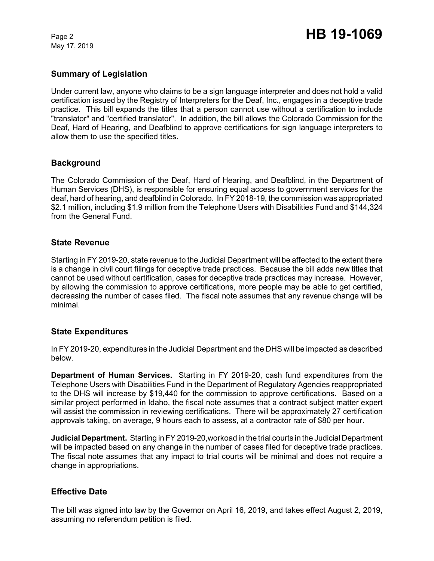May 17, 2019

# **Summary of Legislation**

Under current law, anyone who claims to be a sign language interpreter and does not hold a valid certification issued by the Registry of Interpreters for the Deaf, Inc., engages in a deceptive trade practice. This bill expands the titles that a person cannot use without a certification to include "translator" and "certified translator". In addition, the bill allows the Colorado Commission for the Deaf, Hard of Hearing, and Deafblind to approve certifications for sign language interpreters to allow them to use the specified titles.

## **Background**

The Colorado Commission of the Deaf, Hard of Hearing, and Deafblind, in the Department of Human Services (DHS), is responsible for ensuring equal access to government services for the deaf, hard of hearing, and deafblind in Colorado. In FY 2018-19, the commission was appropriated \$2.1 million, including \$1.9 million from the Telephone Users with Disabilities Fund and \$144,324 from the General Fund.

## **State Revenue**

Starting in FY 2019-20, state revenue to the Judicial Department will be affected to the extent there is a change in civil court filings for deceptive trade practices. Because the bill adds new titles that cannot be used without certification, cases for deceptive trade practices may increase. However, by allowing the commission to approve certifications, more people may be able to get certified, decreasing the number of cases filed. The fiscal note assumes that any revenue change will be minimal.

### **State Expenditures**

In FY 2019-20, expenditures in the Judicial Department and the DHS will be impacted as described below.

**Department of Human Services.** Starting in FY 2019-20, cash fund expenditures from the Telephone Users with Disabilities Fund in the Department of Regulatory Agencies reappropriated to the DHS will increase by \$19,440 for the commission to approve certifications. Based on a similar project performed in Idaho, the fiscal note assumes that a contract subject matter expert will assist the commission in reviewing certifications. There will be approximately 27 certification approvals taking, on average, 9 hours each to assess, at a contractor rate of \$80 per hour.

**Judicial Department.** Starting in FY 2019-20,workoad in the trial courts in the Judicial Department will be impacted based on any change in the number of cases filed for deceptive trade practices. The fiscal note assumes that any impact to trial courts will be minimal and does not require a change in appropriations.

### **Effective Date**

The bill was signed into law by the Governor on April 16, 2019, and takes effect August 2, 2019, assuming no referendum petition is filed.